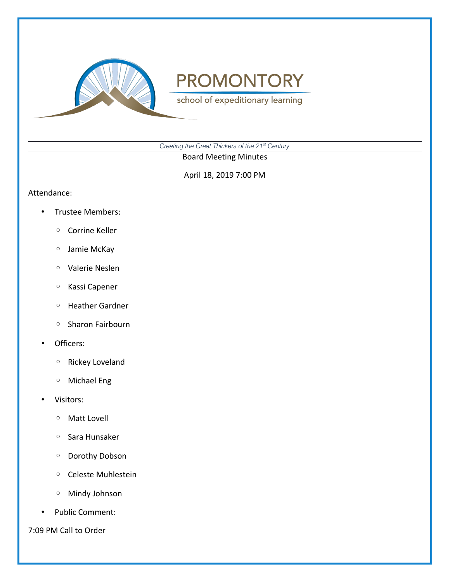

school of expeditionary learning

*Creating the Great Thinkers of the 21st Century*

Board Meeting Minutes

April 18, 2019 7:00 PM

#### Attendance:

- Trustee Members:
	- Corrine Keller
	- Jamie McKay
	- Valerie Neslen
	- Kassi Capener
	- Heather Gardner
	- Sharon Fairbourn
- Officers:
	- Rickey Loveland
	- Michael Eng
- Visitors:
	- Matt Lovell
	- Sara Hunsaker
	- Dorothy Dobson
	- Celeste Muhlestein
	- Mindy Johnson
- Public Comment:

7:09 PM Call to Order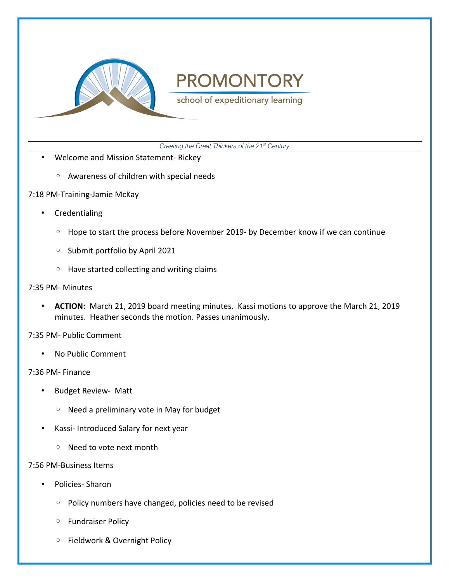

school of expeditionary learning

*Creating the Great Thinkers of the 21st Century*

- Welcome and Mission Statement- Rickey
	- Awareness of children with special needs
- 7:18 PM-Training-Jamie McKay
	- **Credentialing** 
		- Hope to start the process before November 2019- by December know if we can continue
		- Submit portfolio by April 2021
		- Have started collecting and writing claims
- 7:35 PM- Minutes
	- **ACTION:** March 21, 2019 board meeting minutes. Kassi motions to approve the March 21, 2019 minutes. Heather seconds the motion. Passes unanimously.

7:35 PM- Public Comment

• No Public Comment

### 7:36 PM- Finance

- Budget Review- Matt
	- Need a preliminary vote in May for budget
- Kassi- Introduced Salary for next year
	- Need to vote next month

### 7:56 PM-Business Items

- Policies- Sharon
	- Policy numbers have changed, policies need to be revised
	- Fundraiser Policy
	- Fieldwork & Overnight Policy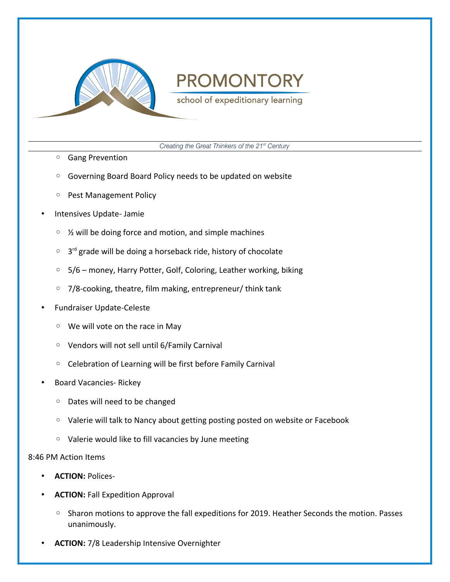

school of expeditionary learning

*Creating the Great Thinkers of the 21st Century*

- Gang Prevention
- Governing Board Board Policy needs to be updated on website
- Pest Management Policy
- Intensives Update- Jamie
	- ½ will be doing force and motion, and simple machines
	- 3<sup>rd</sup> grade will be doing a horseback ride, history of chocolate
	- 5/6 money, Harry Potter, Golf, Coloring, Leather working, biking
	- 7/8-cooking, theatre, film making, entrepreneur/ think tank
- Fundraiser Update-Celeste
	- We will vote on the race in May
	- Vendors will not sell until 6/Family Carnival
	- Celebration of Learning will be first before Family Carnival
- Board Vacancies- Rickey
	- Dates will need to be changed
	- Valerie will talk to Nancy about getting posting posted on website or Facebook
	- Valerie would like to fill vacancies by June meeting

#### 8:46 PM Action Items

- **ACTION:** Polices-
- **ACTION:** Fall Expedition Approval
	- Sharon motions to approve the fall expeditions for 2019. Heather Seconds the motion. Passes unanimously.
- **ACTION:** 7/8 Leadership Intensive Overnighter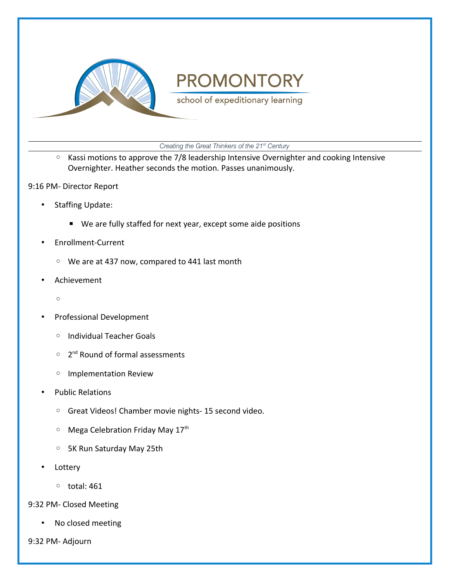

school of expeditionary learning

*Creating the Great Thinkers of the 21st Century*

- Kassi motions to approve the 7/8 leadership Intensive Overnighter and cooking Intensive Overnighter. Heather seconds the motion. Passes unanimously.
- 9:16 PM- Director Report
	- Staffing Update:
		- We are fully staffed for next year, except some aide positions
	- Enrollment-Current
		- We are at 437 now, compared to 441 last month
	- Achievement
		- $\circ$
	- Professional Development
		- Individual Teacher Goals
		- 2<sup>nd</sup> Round of formal assessments
		- Implementation Review
	- Public Relations
		- Great Videos! Chamber movie nights- 15 second video.
		- Mega Celebration Friday May 17th
		- 5K Run Saturday May 25th
	- **Lottery** 
		- total: 461
- 9:32 PM- Closed Meeting
	- No closed meeting
- 9:32 PM- Adjourn